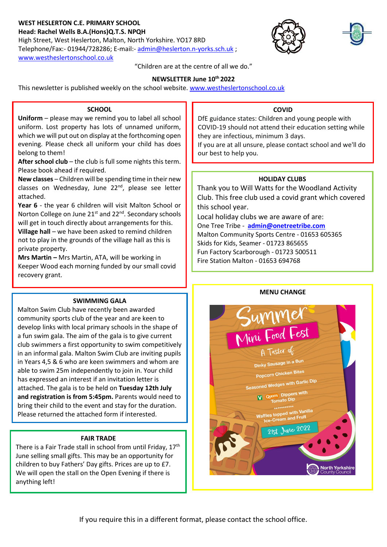## **WEST HESLERTON C.E. PRIMARY SCHOOL Head: Rachel Wells B.A.(Hons)Q.T.S. NPQH**

High Street, West Heslerton, Malton, North Yorkshire. YO17 8RD Telephone/Fax:- 01944/728286; E-mail:- [admin@heslerton.n-yorks.sch.uk](mailto:admin@heslerton.n-yorks.sch.uk) ; [www.westheslertonschool.co.uk](http://www.westheslertonschool.co.uk/)





"Children are at the centre of all we do."

## **NEWSLETTER June 10th 2022**

This newsletter is published weekly on the school website. [www.westheslertonschool.co.uk](http://www.westheslertonschool.co.uk/)

### **SCHOOL**

**Uniform** – please may we remind you to label all school uniform. Lost property has lots of unnamed uniform, which we will put out on display at the forthcoming open evening. Please check all uniform your child has does belong to them!

 **After school club** – the club is full some nights this term. Please book ahead if required.

**New classes** – Children will be spending time in their new classes on Wednesday, June 22<sup>nd</sup>, please see letter attached.

**Year 6** - the year 6 children will visit Malton School or Norton College on June 21<sup>st</sup> and 22<sup>nd</sup>. Secondary schools will get in touch directly about arrangements for this.

**Village hall** – we have been asked to remind children not to play in the grounds of the village hall as this is private property.

**Mrs Martin –** Mrs Martin, ATA, will be working in Keeper Wood each morning funded by our small covid recovery grant.

# **COVID**

DfE guidance states: Children and young people with COVID-19 should not attend their education setting while they are infectious, minimum 3 days.

If you are at all unsure, please contact school and we'll do our best to help you.

## **HOLIDAY CLUBS**

Thank you to Will Watts for the Woodland Activity Club. This free club used a covid grant which covered this school year.

Local holiday clubs we are aware of are: One Tree Tribe - **[admin@onetreetribe.com](mailto:admin@onetreetribe.com)** Malton Community Sports Centre - 01653 605365 Skids for Kids, Seamer - 01723 865655 Fun Factory Scarborough - 01723 500511 Fire Station Malton - 01653 694768

## **MENU CHANGE**



## **SWIMMING GALA**

Malton Swim Club have recently been awarded community sports club of the year and are keen to develop links with local primary schools in the shape of a fun swim gala. The aim of the gala is to give current club swimmers a first opportunity to swim competitively in an informal gala. Malton Swim Club are inviting pupils in Years 4,5 & 6 who are keen swimmers and whom are able to swim 25m independently to join in. Your child has expressed an interest if an invitation letter is attached. The gala is to be held on **Tuesday 12th July and registration is from 5:45pm.** Parents would need to bring their child to the event and stay for the duration. Please returned the attached form if interested.

## **FAIR TRADE**

There is a Fair Trade stall in school from until Friday, 17<sup>th</sup> June selling small gifts. This may be an opportunity for children to buy Fathers' Day gifts. Prices are up to £7. We will open the stall on the Open Evening if there is anything left!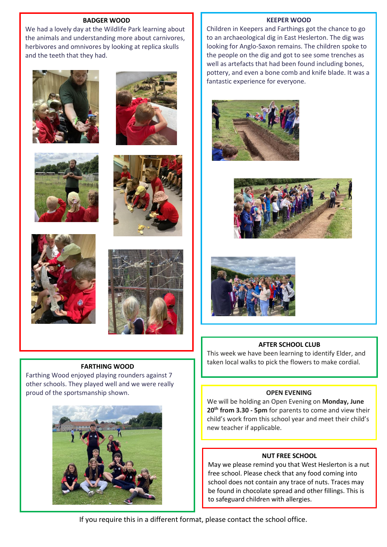### **BADGER WOOD**

We had a lovely day at the Wildlife Park learning about the animals and understanding more about carnivores, herbivores and omnivores by looking at replica skulls and the teeth that they had.













### **FARTHING WOOD**

Farthing Wood enjoyed playing rounders against 7 other schools. They played well and we were really proud of the sportsmanship shown.



#### **KEEPER WOOD**

Children in Keepers and Farthings got the chance to go to an archaeological dig in East Heslerton. The dig was looking for Anglo-Saxon remains. The children spoke to the people on the dig and got to see some trenches as well as artefacts that had been found including bones, pottery, and even a bone comb and knife blade. It was a fantastic experience for everyone.







### **AFTER SCHOOL CLUB**

This week we have been learning to identify Elder, and taken local walks to pick the flowers to make cordial.

### **OPEN EVENING**

We will be holding an Open Evening on **Monday, June 20th from 3.30 - 5pm** for parents to come and view their child's work from this school year and meet their child's new teacher if applicable.

### **NUT FREE SCHOOL**

May we please remind you that West Heslerton is a nut free school. Please check that any food coming into school does not contain any trace of nuts. Traces may be found in chocolate spread and other fillings. This is to safeguard children with allergies.

If you require this in a different format, please contact the school office.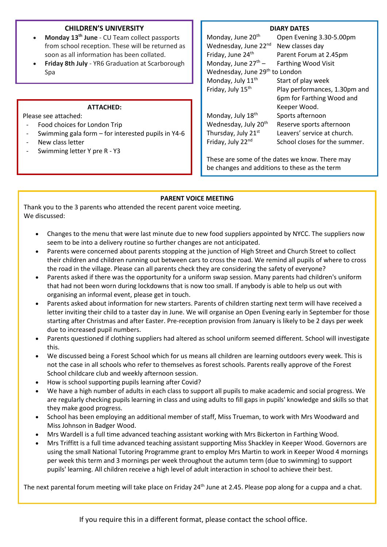## **CHILDREN'S UNIVERSITY**

- **Monday 13th June** CU Team collect passports from school reception. These will be returned as soon as all information has been collated.
- **Friday 8th July** YR6 Graduation at Scarborough Spa

### **ATTACHED:**

Please see attached:

- Food choices for London Trip
- Swimming gala form for interested pupils in Y4-6
- New class letter
- Swimming letter Y pre R Y3

### **DIARY DATES**

| Monday, June 20 <sup>th</sup>              | Open Evening 3.30-5.00pm      |
|--------------------------------------------|-------------------------------|
| Wednesday, June 22nd                       | New classes day               |
| Friday, June 24 <sup>th</sup>              | Parent Forum at 2.45pm        |
| Monday, June $27^{th}$ –                   | <b>Farthing Wood Visit</b>    |
| Wednesday, June 29 <sup>th</sup> to London |                               |
| Monday, July 11 <sup>th</sup>              | Start of play week            |
| Friday, July 15 <sup>th</sup>              | Play performances, 1.30pm and |
|                                            | 6pm for Farthing Wood and     |
|                                            | Keeper Wood.                  |
| Monday, July 18th                          | Sports afternoon              |
| Wednesday, July 20 <sup>th</sup>           | Reserve sports afternoon      |
| Thursday, July 21st                        | Leavers' service at church.   |
| Friday, July 22 <sup>nd</sup>              | School closes for the summer. |
|                                            |                               |

These are some of the dates we know. There may be changes and additions to these as the term

progresses. Please check the school website for

### **PARENT VOICE MEETING**

Thank you to the 3 parents who attended the recent parent voice meeting. We discussed:

- Changes to the menu that were last minute due to new food suppliers appointed by NYCC. The suppliers now seem to be into a delivery routine so further changes are not anticipated.
- Parents were concerned about parents stopping at the junction of High Street and Church Street to collect their children and children running out between cars to cross the road. We remind all pupils of where to cross the road in the village. Please can all parents check they are considering the safety of everyone?
- Parents asked if there was the opportunity for a uniform swap session. Many parents had children's uniform that had not been worn during lockdowns that is now too small. If anybody is able to help us out with organising an informal event, please get in touch.
- Parents asked about information for new starters. Parents of children starting next term will have received a letter inviting their child to a taster day in June. We will organise an Open Evening early in September for those starting after Christmas and after Easter. Pre-reception provision from January is likely to be 2 days per week due to increased pupil numbers.
- Parents questioned if clothing suppliers had altered as school uniform seemed different. School will investigate this.
- We discussed being a Forest School which for us means all children are learning outdoors every week. This is not the case in all schools who refer to themselves as forest schools. Parents really approve of the Forest School childcare club and weekly afternoon session.
- How is school supporting pupils learning after Covid?
- We have a high number of adults in each class to support all pupils to make academic and social progress. We are regularly checking pupils learning in class and using adults to fill gaps in pupils' knowledge and skills so that they make good progress.
- School has been employing an additional member of staff, Miss Trueman, to work with Mrs Woodward and Miss Johnson in Badger Wood.
- Mrs Wardell is a full time advanced teaching assistant working with Mrs Bickerton in Farthing Wood.
- Mrs Triffitt is a full time advanced teaching assistant supporting Miss Shackley in Keeper Wood. Governors are using the small National Tutoring Programme grant to employ Mrs Martin to work in Keeper Wood 4 mornings per week this term and 3 mornings per week throughout the autumn term (due to swimming) to support pupils' learning. All children receive a high level of adult interaction in school to achieve their best.

The next parental forum meeting will take place on Friday 24<sup>th</sup> June at 2.45. Please pop along for a cuppa and a chat.